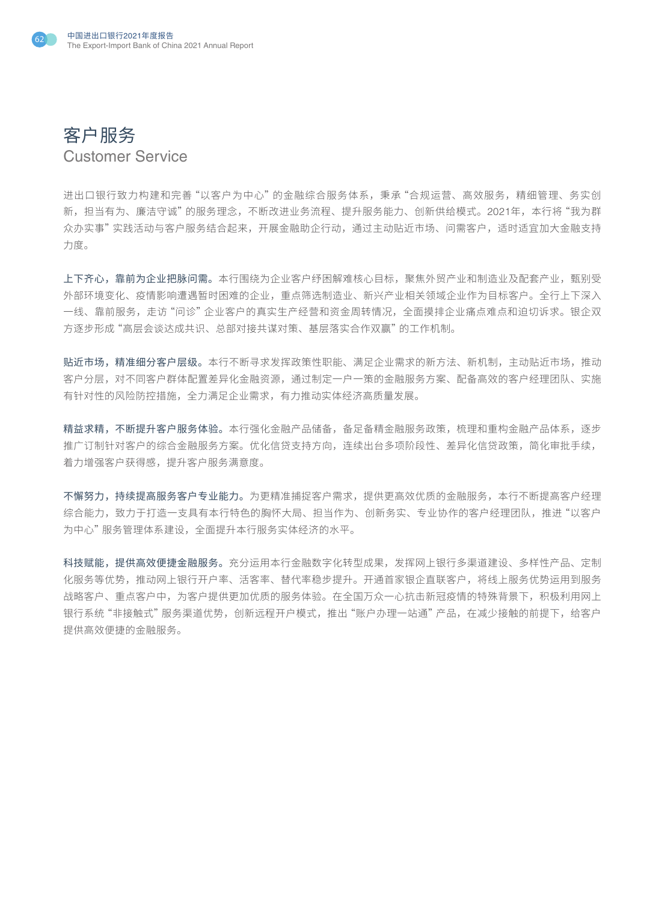



进出口银行致力构建和完善"以客户为中心"的金融综合服务体系,秉承"合规运营、高效服务,精细管理、务实创 新,担当有为、廉洁守诚"的服务理念,不断改进业务流程、提升服务能力、创新供给模式。2021年,本行将"我为群 众办实事"实践活动与客户服务结合起来,开展金融助企行动,通过主动贴近市场、问需客户,适时适宜加大金融支持 力度。

上下齐心,靠前为企业把脉问需。本行围绕为企业客户纾困解难核心目标,聚焦外贸产业和制造业及配套产业,甄别受 外部环境变化、疫情影响遭遇暂时困难的企业,重点筛选制造业、新兴产业相关领域企业作为目标客户。全行上下深入 一线、靠前服务,走访"问诊"企业客户的真实生产经营和资金周转情况,全面摸排企业痛点难点和迫切诉求。银企双 方逐步形成"高层会谈达成共识、总部对接共谋对策、基层落实合作双赢"的工作机制。

贴近市场,精准细分客户层级。本行不断寻求发挥政策性职能、满足企业需求的新方法、新机制,主动贴近市场,推动 客户分层,对不同客户群体配置差异化金融资源,通过制定一户一策的金融服务方案、配备高效的客户经理团队、实施 有针对性的风险防控措施,全力满足企业需求,有力推动实体经济高质量发展。

精益求精,不断提升客户服务体验。本行强化金融产品储备,备足备精金融服务政策,梳理和重构金融产品体系,逐步 推广订制针对客户的综合金融服务方案。优化信贷支持方向,连续出台多项阶段性、差异化信贷政策,简化审批手续, 着力增强客户获得感,提升客户服务满意度。

不懈努力,持续提高服务客户专业能力。为更精准捕捉客户需求,提供更高效优质的金融服务,本行不断提高客户经理 综合能力,致力于打造一支具有本行特色的胸怀大局、担当作为、创新务实、专业协作的客户经理团队,推进"以客户 为中心"服务管理体系建设,全面提升本行服务实体经济的水平。

科技赋能,提供高效便捷金融服务。充分运用本行金融数字化转型成果,发挥网上银行多渠道建设、多样性产品、定制 化服务等优势,推动网上银行开户率、活客率、替代率稳步提升。开通首家银企直联客户,将线上服务优势运用到服务 战略客户、重点客户中,为客户提供更加优质的服务体验。在全国万众一心抗击新冠疫情的特殊背景下,积极利用网上 银行系统"非接触式"服务渠道优势,创新远程开户模式,推出"账户办理一站通"产品,在减少接触的前提下,给客户 提供高效便捷的金融服务。